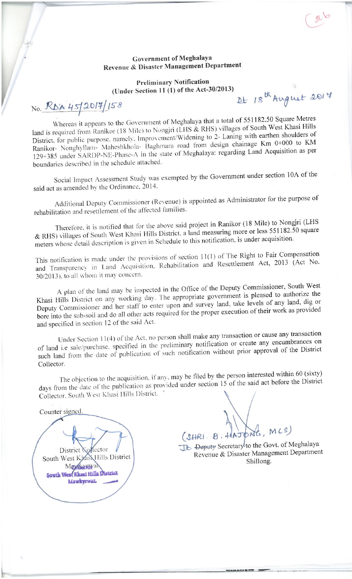## Government of Meghalaya **Revenue & Disaster Management Department**

### **Preliminary Notification** (Under Section 11 (1) of the Act-30/2013)

It 18th August 2017

No. RDA 45/2014/158

Whereas it appears to the Government of Meghalaya that a total of 551182.50 Square Metres land is required from Ranikor (18 Mile) to Nongjri (LHS & RHS) villages of South West Khasi Hills District, for public purpose, namely. Improvement/Widening to 2- Laning with earthen shoulders of Ranikor- Nonghyllam- Maheshkhola- Baghmara road from design chainage Km 0+000 to KM 129+385 under SARDP-NE-Phase-A in the state of Meghalaya: regarding Land Acquisition as per boundaries described in the schedule attached.

Social Impact Assessment Study was exempted by the Government under section 10A of the said act as amended by the Ordinance, 2014.

Additional Deputy Commissioner (Revenue) is appointed as Administrator for the purpose of rehabilitation and resettlement of the affected families.

Therefore, it is notified that for the above said project in Ranikor (18 Mile) to Nongjri (LHS & RHS) villages of South West Khasi Hills District, a land measuring more or less 551182.50 square meters whose detail description is given in Schedule to this notification, is under acquisition.

This notification is made under the provisions of section 11(1) of The Right to Fair Compensation and Transparency in Land Acquisition, Rehabilitation and Resettlement Act, 2013 (Act No. 30/2013), to all whom it may concern.

A plan of the land may be inspected in the Office of the Deputy Commissioner, South West Khasi Hills District on any working day. The appropriate government is pleased to authorize the Deputy Commissioner and her staff to enter upon and survey land, take levels of any land, dig or bore into the sub-soil and do all other acts required for the proper execution of their work as provided and specified in section 12 of the said Act.

Under Section 11(4) of the Act, no person shall make any transaction or cause any transaction of land i.e sale/purchase, specified in the preliminary notification or create any encumbrances on such land from the date of publication of such notification without prior approval of the District Collector.

The objection to the acquisition, if any, may be filed by the person interested within 60 (sixty) days from the date of the publication as provided under section 15 of the said act before the District Collector, South West Khasi Hills District.

Counter signed



(SHRI. B. HAJO

TE Deputy Secretary to the Govt. of Meghalaya Revenue & Disaster Management Department Shillong.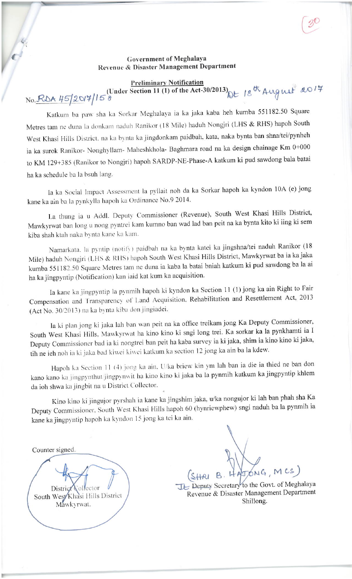## Government of Meghalaya Revenue & Disaster Management Department

#### **Preliminary Notification**

# No. RDA 45/2017/158 (Under Section 11 (1) of the Act-30/2013) Dt 18th August 2017

Katkum ba paw sha ka Sorkar Meghalaya ia ka jaka kaba heh kumba 551182.50 Square Metres tam ne duna la donkam naduh Ranikor (18 Mile) haduh Nongjri (LHS & RHS) hapoh South West Khasi Hills District, na ka bynta ka jingdonkam paidbah, kata, naka bynta ban shna/tei/pynheh ia ka surok Ranikor- Nonghyllam- Maheshkhola- Baghmara road na ka design chainage Km 0+000 to KM 129+385 (Ranikor to Nongjri) hapoh SARDP-NE-Phase-A katkum ki pud sawdong bala batai ha ka schedule ba la bsuh lang.

Ia ka Social Impact Assessment la pyllait noh da ka Sorkar hapoh ka kyndon 10A (e) jong kane ka ain ba la pynkylla hapoh ka Ordinance No.9 2014.

La thung ia u Addl. Deputy Commissioner (Revenue), South West Khasi Hills District, Mawkyrwat ban long u nong pyntrei kam kumno ban wad lad ban peit na ka bynta kito ki iing ki sem kiba shah ktah naka bynta kane ka kam.

Namarkata, la pyntip (notify) paidbah na ka bynta katei ka jingshna/tei naduh Ranikor (18 Mile) haduh Nongjri (LHS & RHS) hapoh South West Khasi Hills District, Mawkyrwat ba ia ka jaka kumba 551182.50 Square Metres tam ne duna ia kaba la batai bniah katkum ki pud sawdong ba la ai ha ka jingpyntip (Notification) kan iaid kat kum ka acquisition.

Ia kane ka jingpyntip la pynmih hapoh ki kyndon ka Section 11 (1) jong ka ain Right to Fair Compensation and Transparency of Land Acquisition, Rehabilitation and Resettlement Act, 2013 (Act No. 30/2013) na ka bynta kiba don jingiadei.

Ia ki plan jong ki jaka lah ban wan peit na ka office treikam jong Ka Deputy Commissioner, South West Khasi Hills, Mawkyrwat ha kino kino ki sngi long trei. Ka sorkar ka la pynkhamti ia I Deputy Commissioner bad ia ki nongtrei ban peit ha kaba survey ia ki jaka, shim ia kino kino ki jaka, tih ne ieh noh ia ki jaka bad kiwei kiwei katkum ka section 12 jong ka ain ba la kdew.

Hapoh ka Section 11 (4) jong ka ain, U/ka briew kin ym lah ban ia die ia thied ne ban don kano kano ka jingpynthut jingpynwit ha kino kino ki jaka ba la pynmih katkum ka jingpyntip khlem da ioh shwa ka jingbit na u District Collector.

Kino kino ki jingujor pyrshah ia kane ka jingshim jaka, u/ka nongujor ki lah ban phah sha Ka Deputy Commissioner, South West Khasi Hills hapoh 60 (hynriewphew) sngi naduh ba la pynmih ia kane ka jingpyntip hapoh ka kyndon 15 jong ka tei ka ain.

Counter signed.

Distri South West Khasi Hills District Mawkyrwat.

ATONG, MCS)

TE Deputy Secretary to the Govt. of Meghalaya Revenue & Disaster Management Department Shillong.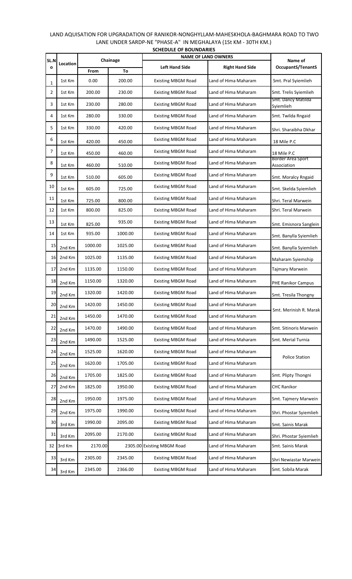|      | <b>SCHEDULE OF BOUNDARIES</b> |         |          |                            |                            |                                         |  |  |  |
|------|-------------------------------|---------|----------|----------------------------|----------------------------|-----------------------------------------|--|--|--|
| SL.N |                               |         | Chainage |                            | <b>NAME OF LAND OWNERS</b> | Name of                                 |  |  |  |
| O    | Location                      | From    | To       | <b>Left Hand Side</b>      | <b>Right Hand Side</b>     | <b>OccupantS/TenantS</b>                |  |  |  |
| 1    | 1st Km                        | 0.00    | 200.00   | <b>Existing MBGM Road</b>  | Land of Hima Maharam       | Smt. Pral Syiemlieh                     |  |  |  |
| 2    | 1st Km                        | 200.00  | 230.00   | <b>Existing MBGM Road</b>  | Land of Hima Maharam       | Smt. Trelis Syiemlieh                   |  |  |  |
| 3    | 1st Km                        | 230.00  | 280.00   | <b>Existing MBGM Road</b>  | Land of Hima Maharam       | Smt. Dancy Matilda<br>Syiemlieh         |  |  |  |
| 4    | 1st Km                        | 280.00  | 330.00   | <b>Existing MBGM Road</b>  | Land of Hima Maharam       | Smt. Twilda Rngaid                      |  |  |  |
| 5    | 1st Km                        | 330.00  | 420.00   | <b>Existing MBGM Road</b>  | Land of Hima Maharam       | Shri. Sharaibha Dkhar                   |  |  |  |
| 6    | 1st Km                        | 420.00  | 450.00   | <b>Existing MBGM Road</b>  | Land of Hima Maharam       | 18 Mile P.C                             |  |  |  |
| 7    | 1st Km                        | 450.00  | 460.00   | <b>Existing MBGM Road</b>  | Land of Hima Maharam       | 18 Mile P.C                             |  |  |  |
| 8    | 1st Km                        | 460.00  | 510.00   | <b>Existing MBGM Road</b>  | Land of Hima Maharam       | <b>Border Area Sport</b><br>Association |  |  |  |
| 9    | 1st Km                        | 510.00  | 605.00   | <b>Existing MBGM Road</b>  | Land of Hima Maharam       | Smt. Moralcy Rngaid                     |  |  |  |
| 10   | 1st Km                        | 605.00  | 725.00   | <b>Existing MBGM Road</b>  | Land of Hima Maharam       | Smt. Skelda Syiemlieh                   |  |  |  |
| 11   | 1st Km                        | 725.00  | 800.00   | <b>Existing MBGM Road</b>  | Land of Hima Maharam       | Shri. Teral Marwein                     |  |  |  |
| 12   | 1st Km                        | 800.00  | 825.00   | <b>Existing MBGM Road</b>  | Land of Hima Maharam       | Shri. Teral Marwein                     |  |  |  |
| 13   | 1st Km                        | 825.00  | 935.00   | <b>Existing MBGM Road</b>  | Land of Hima Maharam       | Smt. Emisnora Sanglein                  |  |  |  |
| 14   | 1st Km                        | 935.00  | 1000.00  | <b>Existing MBGM Road</b>  | Land of Hima Maharam       | Smt. Banylla Syiemlieh                  |  |  |  |
| 15   | 2nd Km                        | 1000.00 | 1025.00  | <b>Existing MBGM Road</b>  | Land of Hima Maharam       | Smt. Banylla Syiemlieh                  |  |  |  |
| 16   | 2nd Km                        | 1025.00 | 1135.00  | <b>Existing MBGM Road</b>  | Land of Hima Maharam       | Maharam Syiemship                       |  |  |  |
| 17   | 2nd Km                        | 1135.00 | 1150.00  | <b>Existing MBGM Road</b>  | Land of Hima Maharam       | Tajmary Marwein                         |  |  |  |
| 18   | 2nd Km                        | 1150.00 | 1320.00  | <b>Existing MBGM Road</b>  | Land of Hima Maharam       | <b>PHE Ranikor Campus</b>               |  |  |  |
| 19   | 2nd Km                        | 1320.00 | 1420.00  | <b>Existing MBGM Road</b>  | Land of Hima Maharam       | Smt. Tresila Thongny                    |  |  |  |
| 20   | 2nd Km                        | 1420.00 | 1450.00  | <b>Existing MBGM Road</b>  | Land of Hima Maharam       | Smt. Merinish R. Marak                  |  |  |  |
| 21   | 2nd Km                        | 1450.00 | 1470.00  | <b>Existing MBGM Road</b>  | Land of Hima Maharam       |                                         |  |  |  |
| 22   | 2nd Km                        | 1470.00 | 1490.00  | <b>Existing MBGM Road</b>  | Land of Hima Maharam       | Smt. Sitinoris Marwein                  |  |  |  |
| 23   | 2nd Km                        | 1490.00 | 1525.00  | <b>Existing MBGM Road</b>  | Land of Hima Maharam       | Smt. Merial Turnia                      |  |  |  |
| 24   | 2nd Km                        | 1525.00 | 1620.00  | <b>Existing MBGM Road</b>  | Land of Hima Maharam       | <b>Police Station</b>                   |  |  |  |
| 25   | 2nd Km                        | 1620.00 | 1705.00  | <b>Existing MBGM Road</b>  | Land of Hima Maharam       |                                         |  |  |  |
| 26   | 2nd Km                        | 1705.00 | 1825.00  | <b>Existing MBGM Road</b>  | Land of Hima Maharam       | Smt. Plipty Thongni                     |  |  |  |
| 27   | 2nd Km                        | 1825.00 | 1950.00  | <b>Existing MBGM Road</b>  | Land of Hima Maharam       | <b>CHC Ranikor</b>                      |  |  |  |
| 28   | 2nd Km                        | 1950.00 | 1975.00  | <b>Existing MBGM Road</b>  | Land of Hima Maharam       | Smt. Tajmery Marwein                    |  |  |  |
| 29   | 2nd Km                        | 1975.00 | 1990.00  | <b>Existing MBGM Road</b>  | Land of Hima Maharam       | Shri. Phostar Syiemlieh                 |  |  |  |
| 30   | 3rd Km                        | 1990.00 | 2095.00  | <b>Existing MBGM Road</b>  | Land of Hima Maharam       | Smt. Sainis Marak                       |  |  |  |
| 31   | 3rd Km                        | 2095.00 | 2170.00  | <b>Existing MBGM Road</b>  | Land of Hima Maharam       | Shri. Phostar Syiemlieh                 |  |  |  |
| 32   | 3rd Km                        | 2170.00 |          | 2305.00 Existing MBGM Road | Land of Hima Maharam       | Smt. Sainis Marak                       |  |  |  |
| 33   | 3rd Km                        | 2305.00 | 2345.00  | <b>Existing MBGM Road</b>  | Land of Hima Maharam       | Shri Newiastar Marwein                  |  |  |  |
| 34   | 3rd Km                        | 2345.00 | 2366.00  | <b>Existing MBGM Road</b>  | Land of Hima Maharam       | Smt. Sobila Marak                       |  |  |  |

## LAND AQUISATION FOR UPGRADATION OF RANIKOR-NONGHYLLAM-MAHESKHOLA-BAGHMARA ROAD TO TWO LANE UNDER SARDP-NE "PHASE-A" IN MEGHALAYA (1St KM - 30TH KM.)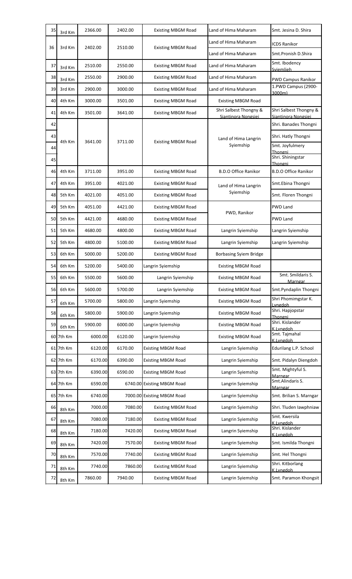| 35 | 3rd Km    | 2366.00 | 2402.00 | <b>Existing MBGM Road</b>  | Land of Hima Maharam                          | Smt. Jesina D. Shira                          |
|----|-----------|---------|---------|----------------------------|-----------------------------------------------|-----------------------------------------------|
| 36 | 3rd Km    | 2402.00 | 2510.00 | <b>Existing MBGM Road</b>  | Land of Hima Maharam                          | <b>ICDS Ranikor</b>                           |
|    |           |         |         |                            | Land of Hima Maharam                          | Smt.Pronish D.Shira                           |
| 37 | 3rd Km    | 2510.00 | 2550.00 | <b>Existing MBGM Road</b>  | Land of Hima Maharam                          | Smt. Ibodency<br>Sviemlieh                    |
| 38 | 3rd Km    | 2550.00 | 2900.00 | <b>Existing MBGM Road</b>  | Land of Hima Maharam                          | <b>PWD Campus Ranikor</b>                     |
| 39 | 3rd Km    | 2900.00 | 3000.00 | <b>Existing MBGM Road</b>  | Land of Hima Maharam                          | 1.PWD Campus (2900-<br>3000m)                 |
| 40 | 4th Km    | 3000.00 | 3501.00 | <b>Existing MBGM Road</b>  | <b>Existing MBGM Road</b>                     |                                               |
| 41 | 4th Km    | 3501.00 | 3641.00 | <b>Existing MBGM Road</b>  | Shri Salbest Thongny &<br>Siantinora Nongsiei | Shri Salbest Thongny &<br>Siantinora Nongsiei |
| 42 |           |         |         |                            |                                               | Shri. Banades Thongni                         |
| 43 | 4th Km    | 3641.00 | 3711.00 |                            | Land of Hima Langrin                          | Shri. Hatly Thongni                           |
| 44 |           |         |         | <b>Existing MBGM Road</b>  | Syiemship                                     | Smt. Joyfulmery<br>Thongni                    |
| 45 |           |         |         |                            |                                               | Shri. Shiningstar<br>Thongni                  |
| 46 | 4th Km    | 3711.00 | 3951.00 | <b>Existing MBGM Road</b>  | <b>B.D.O Office Ranikor</b>                   | <b>B.D.O Office Ranikor</b>                   |
| 47 | 4th Km    | 3951.00 | 4021.00 | <b>Existing MBGM Road</b>  | Land of Hima Langrin                          | Smt.Ebina Thongni                             |
| 48 | 5th Km    | 4021.00 | 4051.00 | <b>Existing MBGM Road</b>  | Syiemship                                     | Smt. Floren Thongni                           |
| 49 | 5th Km    | 4051.00 | 4421.00 | <b>Existing MBGM Road</b>  | PWD, Ranikor                                  | PWD Land                                      |
| 50 | 5th Km    | 4421.00 | 4680.00 | <b>Existing MBGM Road</b>  |                                               | <b>PWD Land</b>                               |
| 51 | 5th Km    | 4680.00 | 4800.00 | <b>Existing MBGM Road</b>  | Langrin Syiemship                             | Langrin Syiemship                             |
| 52 | 5th Km    | 4800.00 | 5100.00 | <b>Existing MBGM Road</b>  | Langrin Syiemship                             | Langrin Syiemship                             |
| 53 | 6th Km    | 5000.00 | 5200.00 | <b>Existing MBGM Road</b>  | <b>Borbasing Syiem Bridge</b>                 |                                               |
| 54 | 6th Km    | 5200.00 | 5400.00 | Langrin Syiemship          | <b>Existing MBGM Road</b>                     |                                               |
| 55 | 6th Km    | 5500.00 | 5600.00 | Langrin Syiemship          | <b>Existing MBGM Road</b>                     | Smt. Smildaris S.<br>Marngar                  |
| 56 | 6th Km    | 5600.00 | 5700.00 | Langrin Syiemship          | <b>Existing MBGM Road</b>                     | Smt.Pyndaplin Thongni                         |
| 57 | 6th Km    | 5700.00 | 5800.00 | Langrin Syiemship          | <b>Existing MBGM Road</b>                     | Shri Phomimgstar K.<br>Lyngdoh                |
| 58 | 6th Km    | 5800.00 | 5900.00 | Langrin Syiemship          | <b>Existing MBGM Road</b>                     | Shri. Hapjopstar<br>Thongni                   |
| 59 | 6th Km    | 5900.00 | 6000.00 | Langrin Syiemship          | <b>Existing MBGM Road</b>                     | Shri. Kislander<br>K.Lvngdoh                  |
|    | 60 7th Km | 6000.00 | 6120.00 | Langrin Syiemship          | <b>Existing MBGM Road</b>                     | Smt. Tajmahal<br>K.Lvngdoh                    |
|    | 61 7th Km | 6120.00 | 6170.00 | <b>Existing MBGM Road</b>  | Langrin Syiemship                             | Edurilang L.P. School                         |
|    | 62 7th Km | 6170.00 | 6390.00 | <b>Existing MBGM Road</b>  | Langrin Syiemship                             | Smt. Pidalyn Diengdoh                         |
|    | 63 7th Km | 6390.00 | 6590.00 | <b>Existing MBGM Road</b>  | Langrin Syiemship                             | Smt. Mightyful S.<br>Marngar                  |
|    | 64 7th Km | 6590.00 |         | 6740.00 Existing MBGM Road | Langrin Syiemship                             | Smt.Alindaris S.<br><u>Marngar</u>            |
|    | 65 7th Km | 6740.00 |         | 7000.00 Existing MBGM Road | Langrin Syiemship                             | Smt. Brilian S. Marngar                       |
| 66 | 8th Km    | 7000.00 | 7080.00 | <b>Existing MBGM Road</b>  | Langrin Syiemship                             | Shri. Tluden lawphniaw                        |
| 67 | 8th Km    | 7080.00 | 7180.00 | <b>Existing MBGM Road</b>  | Langrin Syiemship                             | Smt. Kwersila<br>K.Lvngdoh                    |
| 68 | 8th Km    | 7180.00 | 7420.00 | <b>Existing MBGM Road</b>  | Langrin Syiemship                             | Shri. Kislander<br>K.Lvngdoh                  |
| 69 | 8th Km    | 7420.00 | 7570.00 | <b>Existing MBGM Road</b>  | Langrin Syiemship                             | Smt. Ismilda Thongni                          |
| 70 | 8th Km    | 7570.00 | 7740.00 | <b>Existing MBGM Road</b>  | Langrin Syiemship                             | Smt. Hel Thongni                              |
| 71 | 8th Km    | 7740.00 | 7860.00 | <b>Existing MBGM Road</b>  | Langrin Syiemship                             | Shri. Kitborlang<br>K.Lvngdoh                 |
| 72 | 8th Km    | 7860.00 | 7940.00 | <b>Existing MBGM Road</b>  | Langrin Syiemship                             | Smt. Paramon Khongsit                         |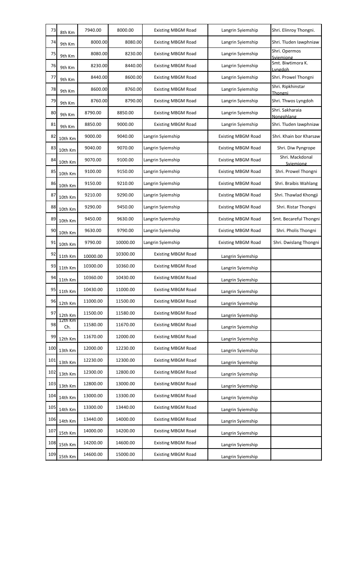| 73  | 8th Km         | 7940.00  | 8000.00  | <b>Existing MBGM Road</b> | Langrin Syiemship         | Shri. Elinroy Thongni.        |
|-----|----------------|----------|----------|---------------------------|---------------------------|-------------------------------|
| 74  | 9th Km         | 8000.00  | 8080.00  | <b>Existing MBGM Road</b> | Langrin Syiemship         | Shri. Tluden lawphniaw        |
| 75  | 9th Km         | 8080.00  | 8230.00  | <b>Existing MBGM Road</b> | Langrin Syiemship         | Shri. Opermos<br>Sviemiong    |
| 76  | 9th Km         | 8230.00  | 8440.00  | <b>Existing MBGM Road</b> | Langrin Syiemship         | Smt. Biwtimora K.<br>Lyngdoh  |
| 77  | 9th Km         | 8440.00  | 8600.00  | <b>Existing MBGM Road</b> | Langrin Syiemship         | Shri. Prowel Thongni          |
| 78  | 9th Km         | 8600.00  | 8760.00  | <b>Existing MBGM Road</b> | Langrin Syiemship         | Shri. Ripkhinstar<br>Thongni  |
| 79  | 9th Km         | 8760.00  | 8790.00  | <b>Existing MBGM Road</b> | Langrin Syiemship         | Shri. Thwos Lyngdoh           |
| 80  | 9th Km         | 8790.00  | 8850.00  | <b>Existing MBGM Road</b> | Langrin Syiemship         | Shri. Sakharaia<br>Nongphlang |
| 81  | 9th Km         | 8850.00  | 9000.00  | <b>Existing MBGM Road</b> | Langrin Syiemship         | Shri. Tluden lawphniaw        |
| 82  | 10th Km        | 9000.00  | 9040.00  | Langrin Syiemship         | <b>Existing MBGM Road</b> | Shri. Khain bor Kharsaw       |
| 83  | 10th Km        | 9040.00  | 9070.00  | Langrin Syiemship         | <b>Existing MBGM Road</b> | Shri. Diw Pyngrope            |
| 84  | 10th Km        | 9070.00  | 9100.00  | Langrin Syiemship         | <b>Existing MBGM Road</b> | Shri. Mackdonal<br>Sviemiong  |
| 85  | 10th Km        | 9100.00  | 9150.00  | Langrin Syiemship         | <b>Existing MBGM Road</b> | Shri. Prowel Thongni          |
| 86  | 10th Km        | 9150.00  | 9210.00  | Langrin Syiemship         | <b>Existing MBGM Road</b> | Shri. Braibis Wahlang         |
| 87  | 10th Km        | 9210.00  | 9290.00  | Langrin Syiemship         | <b>Existing MBGM Road</b> | Shri. Thawlad Khongji         |
| 88  | 10th Km        | 9290.00  | 9450.00  | Langrin Syiemship         | <b>Existing MBGM Road</b> | Shri. Ristar Thongni          |
| 89  | 10th Km        | 9450.00  | 9630.00  | Langrin Syiemship         | <b>Existing MBGM Road</b> | Smt. Becareful Thongni        |
| 90  | 10th Km        | 9630.00  | 9790.00  | Langrin Syiemship         | <b>Existing MBGM Road</b> | Shri. Pholis Thongni          |
| 91  | 10th Km        | 9790.00  | 10000.00 | Langrin Syiemship         | <b>Existing MBGM Road</b> | Shri. Dwislang Thongni        |
| 92  | 11th Km        | 10000.00 | 10300.00 | <b>Existing MBGM Road</b> | Langrin Syiemship         |                               |
| 93  | 11th Km        | 10300.00 | 10360.00 | <b>Existing MBGM Road</b> | Langrin Syiemship         |                               |
| 94  | 11th Km        | 10360.00 | 10430.00 | <b>Existing MBGM Road</b> | Langrin Syiemship         |                               |
| 95  | 11th Km        | 10430.00 | 11000.00 | <b>Existing MBGM Road</b> | Langrin Syiemship         |                               |
| 96  | 12th Km        | 11000.00 | 11500.00 | <b>Existing MBGM Road</b> | Langrin Syiemship         |                               |
| 97  | 12th Km        | 11500.00 | 11580.00 | <b>Existing MBGM Road</b> | Langrin Syiemship         |                               |
| 98  | 12th Km<br>Ch. | 11580.00 | 11670.00 | <b>Existing MBGM Road</b> | Langrin Syiemship         |                               |
| 99  | 12th Km        | 11670.00 | 12000.00 | <b>Existing MBGM Road</b> | Langrin Syiemship         |                               |
| 100 | 13th Km        | 12000.00 | 12230.00 | <b>Existing MBGM Road</b> | Langrin Syiemship         |                               |
| 101 | 13th Km        | 12230.00 | 12300.00 | <b>Existing MBGM Road</b> | Langrin Syiemship         |                               |
| 102 | 13th Km        | 12300.00 | 12800.00 | <b>Existing MBGM Road</b> | Langrin Syiemship         |                               |
| 103 | 13th Km        | 12800.00 | 13000.00 | <b>Existing MBGM Road</b> | Langrin Syiemship         |                               |
| 104 | 14th Km        | 13000.00 | 13300.00 | <b>Existing MBGM Road</b> | Langrin Syiemship         |                               |
| 105 | 14th Km        | 13300.00 | 13440.00 | <b>Existing MBGM Road</b> | Langrin Syiemship         |                               |
| 106 | 14th Km        | 13440.00 | 14000.00 | <b>Existing MBGM Road</b> | Langrin Syiemship         |                               |
| 107 | 15th Km        | 14000.00 | 14200.00 | <b>Existing MBGM Road</b> | Langrin Syiemship         |                               |
| 108 | 15th Km        | 14200.00 | 14600.00 | <b>Existing MBGM Road</b> | Langrin Syiemship         |                               |
| 109 | 15th Km        | 14600.00 | 15000.00 | <b>Existing MBGM Road</b> | Langrin Syiemship         |                               |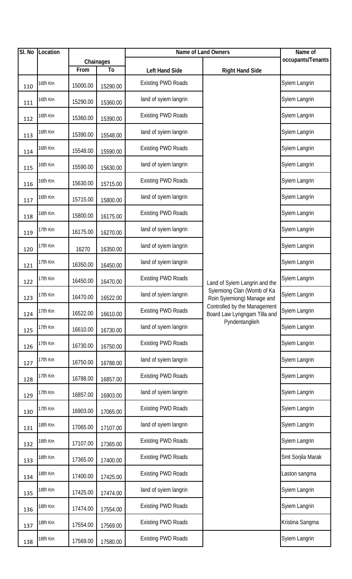| SI. No | Location |          |           | Name of Land Owners       |                                                              | Name of           |
|--------|----------|----------|-----------|---------------------------|--------------------------------------------------------------|-------------------|
|        |          |          | Chainages |                           |                                                              | occupants/Tenants |
|        |          | From     | To        | Left Hand Side            | <b>Right Hand Side</b>                                       |                   |
| 110    | 16th Km  | 15000.00 | 15290.00  | <b>Existing PWD Roads</b> |                                                              | Syiem Langrin     |
| 111    | 16th Km  | 15290.00 | 15360.00  | land of syiem langrin     |                                                              | Syiem Langrin     |
| 112    | 16th Km  | 15360.00 | 15390.00  | <b>Existing PWD Roads</b> |                                                              | Syiem Langrin     |
| 113    | 16th Km  | 15390.00 | 15548.00  | land of syiem langrin     |                                                              | Syiem Langrin     |
| 114    | 16th Km  | 15548.00 | 15590.00  | <b>Existing PWD Roads</b> |                                                              | Syiem Langrin     |
| 115    | 16th Km  | 15590.00 | 15630.00  | land of syiem langrin     |                                                              | Syiem Langrin     |
| 116    | 16th Km  | 15630.00 | 15715.00  | <b>Existing PWD Roads</b> |                                                              | Syiem Langrin     |
| 117    | 16th Km  | 15715.00 | 15800.00  | land of syiem langrin     |                                                              | Syiem Langrin     |
| 118    | 16th Km  | 15800.00 | 16175.00  | <b>Existing PWD Roads</b> |                                                              | Syiem Langrin     |
| 119    | 17th Km  | 16175.00 | 16270.00  | land of syiem langrin     |                                                              | Syiem Langrin     |
| 120    | 17th Km  | 16270    | 16350.00  | land of syiem langrin     |                                                              | Syiem Langrin     |
| 121    | 17th Km  | 16350.00 | 16450.00  | land of syiem langrin     |                                                              | Syiem Langrin     |
| 122    | 17th Km  | 16450.00 | 16470.00  | <b>Existing PWD Roads</b> | Land of Syiem Langrin and the                                | Syiem Langrin     |
| 123    | 17th Km  | 16470.00 | 16522.00  | land of syiem langrin     | Sylemiong Clan (Womb of Ka<br>Roin Syiemiong) Manage and     | Syiem Langrin     |
| 124    | 17th Km  | 16522.00 | 16610.00  | <b>Existing PWD Roads</b> | Controlled by the Management<br>Board Law Lyngngam Tilla and | Syiem Langrin     |
| 125    | 17th Km  | 16610.00 | 16730.00  | land of syiem langrin     | Pyndentanglieh                                               | Syiem Langrin     |
| 126    | 17th Km  | 16730.00 | 16750.00  | <b>Existing PWD Roads</b> |                                                              | Syiem Langrin     |
| 127    | 17th Km  | 16750.00 | 16788.00  | land of syiem langrin     |                                                              | Syiem Langrin     |
| 128    | 17th Km  | 16788.00 | 16857.00  | <b>Existing PWD Roads</b> |                                                              | Syiem Langrin     |
| 129    | 17th Km  | 16857.00 | 16903.00  | land of syiem langrin     |                                                              | Syiem Langrin     |
| 130    | 17th Km  | 16903.00 | 17065.00  | <b>Existing PWD Roads</b> |                                                              | Syiem Langrin     |
| 131    | 18th Km  | 17065.00 | 17107.00  | land of syiem langrin     |                                                              | Syiem Langrin     |
| 132    | 18th Km  | 17107.00 | 17365.00  | <b>Existing PWD Roads</b> |                                                              | Syiem Langrin     |
| 133    | 18th Km  | 17365.00 | 17400.00  | <b>Existing PWD Roads</b> |                                                              | Smt Sorjila Marak |
| 134    | 18th Km  | 17400.00 | 17425.00  | <b>Existing PWD Roads</b> |                                                              | Laston sangma     |
| 135    | 18th Km  | 17425.00 | 17474.00  | land of syiem langrin     |                                                              | Syiem Langrin     |
| 136    | 18th Km  | 17474.00 | 17554.00  | <b>Existing PWD Roads</b> |                                                              | Syiem Langrin     |
| 137    | 18th Km  | 17554.00 | 17569.00  | <b>Existing PWD Roads</b> |                                                              | Kristina Sangma   |
| 138    | 18th Km  | 17569.00 | 17580.00  | <b>Existing PWD Roads</b> |                                                              | Syiem Langrin     |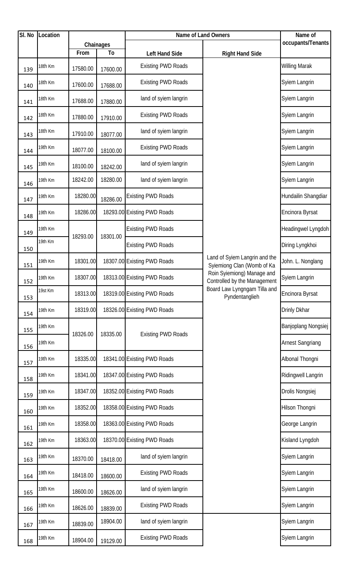| SI. No | Location |          |           | Name of Land Owners         | Name of                                                     |                         |
|--------|----------|----------|-----------|-----------------------------|-------------------------------------------------------------|-------------------------|
|        |          |          | Chainages |                             |                                                             | occupants/Tenants       |
|        |          | From     | To        | <b>Left Hand Side</b>       | <b>Right Hand Side</b>                                      |                         |
| 139    | 18th Km  | 17580.00 | 17600.00  | <b>Existing PWD Roads</b>   |                                                             | <b>Willing Marak</b>    |
| 140    | 18th Km  | 17600.00 | 17688.00  | <b>Existing PWD Roads</b>   |                                                             | Syiem Langrin           |
| 141    | 18th Km  | 17688.00 | 17880.00  | land of syiem langrin       |                                                             | Syiem Langrin           |
| 142    | 18th Km  | 17880.00 | 17910.00  | <b>Existing PWD Roads</b>   |                                                             | Syiem Langrin           |
| 143    | 18th Km  | 17910.00 | 18077.00  | land of syiem langrin       |                                                             | Syiem Langrin           |
| 144    | 19th Km  | 18077.00 | 18100.00  | <b>Existing PWD Roads</b>   |                                                             | Syiem Langrin           |
| 145    | 19th Km  | 18100.00 | 18242.00  | land of syiem langrin       |                                                             | Syiem Langrin           |
| 146    | 19th Km  | 18242.00 | 18280.00  | land of syiem langrin       |                                                             | Syiem Langrin           |
| 147    | 19th Km  | 18280.00 | 18286.00  | <b>Existing PWD Roads</b>   |                                                             | Hundailin Shangdiar     |
| 148    | 19th Km  | 18286.00 |           | 18293.00 Existing PWD Roads |                                                             | Encinora Byrsat         |
| 149    | 19th Km  | 18293.00 | 18301.00  | <b>Existing PWD Roads</b>   |                                                             | Headingwel Lyngdoh      |
| 150    | 19th Km  |          |           | <b>Existing PWD Roads</b>   |                                                             | Diring Lyngkhoi         |
| 151    | 19th Km  | 18301.00 |           | 18307.00 Existing PWD Roads | Land of Syiem Langrin and the<br>Sylemiong Clan (Womb of Ka | John. L. Nonglang       |
| 152    | 19th Km  | 18307.00 |           | 18313.00 Existing PWD Roads | Roin Syiemiong) Manage and<br>Controlled by the Management  | Syiem Langrin           |
| 153    | 19st Km  | 18313.00 |           | 18319.00 Existing PWD Roads | Board Law Lyngngam Tilla and<br>Pyndentanglieh              | Encinora Byrsat         |
| 154    | 19th Km  | 18319.00 |           | 18326.00 Existing PWD Roads |                                                             | Drinly Dkhar            |
| 155    | 19th Km  | 18326.00 | 18335.00  |                             |                                                             | Banjoplang Nongsiej     |
| 156    | 19th Km  |          |           | <b>Existing PWD Roads</b>   |                                                             | <b>Arnest Sangriang</b> |
| 157    | 19th Km  | 18335.00 |           | 18341.00 Existing PWD Roads |                                                             | Albonal Thongni         |
| 158    | 19th Km  | 18341.00 |           | 18347.00 Existing PWD Roads |                                                             | Ridingwell Langrin      |
| 159    | 19th Km  | 18347.00 |           | 18352.00 Existing PWD Roads |                                                             | Drolis Nongsiej         |
| 160    | 19th Km  | 18352.00 |           | 18358.00 Existing PWD Roads |                                                             | Hilson Thongni          |
| 161    | 19th Km  | 18358.00 |           | 18363.00 Existing PWD Roads |                                                             | George Langrin          |
| 162    | 19th Km  | 18363.00 |           | 18370.00 Existing PWD Roads |                                                             | Kisland Lyngdoh         |
| 163    | 19th Km  | 18370.00 | 18418.00  | land of syiem langrin       |                                                             | Syiem Langrin           |
| 164    | 19th Km  | 18418.00 | 18600.00  | <b>Existing PWD Roads</b>   |                                                             | Syiem Langrin           |
| 165    | 19th Km  | 18600.00 | 18626.00  | land of syiem langrin       |                                                             | Syiem Langrin           |
| 166    | 19th Km  | 18626.00 | 18839.00  | <b>Existing PWD Roads</b>   |                                                             | Syiem Langrin           |
| 167    | 19th Km  | 18839.00 | 18904.00  | land of syiem langrin       |                                                             | Syiem Langrin           |
| 168    | 19th Km  | 18904.00 | 19129.00  | <b>Existing PWD Roads</b>   |                                                             | Syiem Langrin           |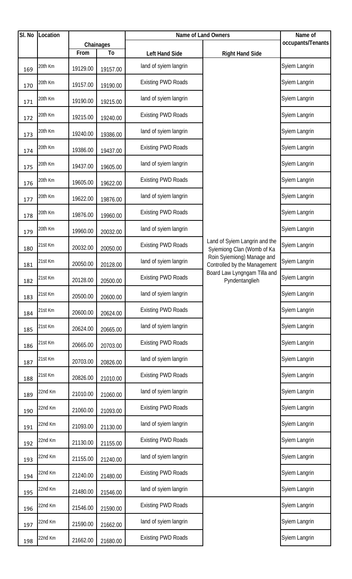| SI. No | Location |          |           | Name of Land Owners       | Name of                                                     |                   |
|--------|----------|----------|-----------|---------------------------|-------------------------------------------------------------|-------------------|
|        |          |          | Chainages |                           |                                                             | occupants/Tenants |
|        |          | From     | To        | Left Hand Side            | <b>Right Hand Side</b>                                      |                   |
| 169    | 20th Km  | 19129.00 | 19157.00  | land of syiem langrin     |                                                             | Syiem Langrin     |
| 170    | 20th Km  | 19157.00 | 19190.00  | <b>Existing PWD Roads</b> |                                                             | Syiem Langrin     |
| 171    | 20th Km  | 19190.00 | 19215.00  | land of syiem langrin     |                                                             | Syiem Langrin     |
| 172    | 20th Km  | 19215.00 | 19240.00  | <b>Existing PWD Roads</b> |                                                             | Syiem Langrin     |
| 173    | 20th Km  | 19240.00 | 19386.00  | land of syiem langrin     |                                                             | Syiem Langrin     |
| 174    | 20th Km  | 19386.00 | 19437.00  | <b>Existing PWD Roads</b> |                                                             | Syiem Langrin     |
| 175    | 20th Km  | 19437.00 | 19605.00  | land of syiem langrin     |                                                             | Syiem Langrin     |
| 176    | 20th Km  | 19605.00 | 19622.00  | <b>Existing PWD Roads</b> |                                                             | Syiem Langrin     |
| 177    | 20th Km  | 19622.00 | 19876.00  | land of syiem langrin     |                                                             | Syiem Langrin     |
| 178    | 20th Km  | 19876.00 | 19960.00  | <b>Existing PWD Roads</b> |                                                             | Syiem Langrin     |
| 179    | 20th Km  | 19960.00 | 20032.00  | land of syiem langrin     |                                                             | Syiem Langrin     |
| 180    | 21st Km  | 20032.00 | 20050.00  | <b>Existing PWD Roads</b> | Land of Syiem Langrin and the<br>Sylemiong Clan (Womb of Ka | Syiem Langrin     |
| 181    | 21st Km  | 20050.00 | 20128.00  | land of syiem langrin     | Roin Sylemiong) Manage and<br>Controlled by the Management  | Syiem Langrin     |
| 182    | 21st Km  | 20128.00 | 20500.00  | <b>Existing PWD Roads</b> | Board Law Lyngngam Tilla and<br>Pyndentanglieh              | Syiem Langrin     |
| 183    | 21st Km  | 20500.00 | 20600.00  | land of syiem langrin     |                                                             | Syiem Langrin     |
| 184    | 21st Km  | 20600.00 | 20624.00  | <b>Existing PWD Roads</b> |                                                             | Syiem Langrin     |
| 185    | 21st Km  | 20624.00 | 20665.00  | land of syiem langrin     |                                                             | Syiem Langrin     |
| 186    | 21st Km  | 20665.00 | 20703.00  | <b>Existing PWD Roads</b> |                                                             | Syiem Langrin     |
| 187    | 21st Km  | 20703.00 | 20826.00  | land of syiem langrin     |                                                             | Syiem Langrin     |
| 188    | 21st Km  | 20826.00 | 21010.00  | <b>Existing PWD Roads</b> |                                                             | Syiem Langrin     |
| 189    | 22nd Km  | 21010.00 | 21060.00  | land of syiem langrin     |                                                             | Syiem Langrin     |
| 190    | 22nd Km  | 21060.00 | 21093.00  | <b>Existing PWD Roads</b> |                                                             | Syiem Langrin     |
| 191    | 22nd Km  | 21093.00 | 21130.00  | land of syiem langrin     |                                                             | Syiem Langrin     |
| 192    | 22nd Km  | 21130.00 | 21155.00  | <b>Existing PWD Roads</b> |                                                             | Syiem Langrin     |
| 193    | 22nd Km  | 21155.00 | 21240.00  | land of syiem langrin     |                                                             | Syiem Langrin     |
| 194    | 22nd Km  | 21240.00 | 21480.00  | <b>Existing PWD Roads</b> |                                                             | Syiem Langrin     |
| 195    | 22nd Km  | 21480.00 | 21546.00  | land of syiem langrin     |                                                             | Syiem Langrin     |
| 196    | 22nd Km  | 21546.00 | 21590.00  | <b>Existing PWD Roads</b> |                                                             | Syiem Langrin     |
| 197    | 22nd Km  | 21590.00 | 21662.00  | land of syiem langrin     |                                                             | Syiem Langrin     |
| 198    | 22nd Km  | 21662.00 | 21680.00  | <b>Existing PWD Roads</b> |                                                             | Syiem Langrin     |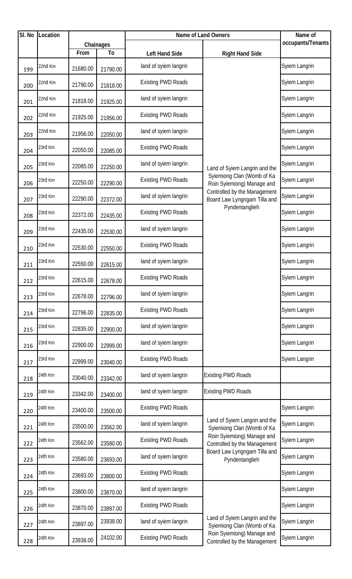| $\overline{SI}$ . No | Location |          |                | Name of Land Owners       | Name of                                                      |                   |
|----------------------|----------|----------|----------------|---------------------------|--------------------------------------------------------------|-------------------|
|                      |          |          | Chainages      |                           |                                                              | occupants/Tenants |
|                      |          | From     | T <sub>o</sub> | Left Hand Side            | <b>Right Hand Side</b>                                       |                   |
| 199                  | 22nd Km  | 21680.00 | 21790.00       | land of syiem langrin     |                                                              | Syiem Langrin     |
| 200                  | 22nd Km  | 21790.00 | 21818.00       | <b>Existing PWD Roads</b> |                                                              | Syiem Langrin     |
| 201                  | 22nd Km  | 21818.00 | 21925.00       | land of syiem langrin     |                                                              | Syiem Langrin     |
| 202                  | 22nd Km  | 21925.00 | 21956.00       | <b>Existing PWD Roads</b> |                                                              | Syiem Langrin     |
| 203                  | 22nd Km  | 21956.00 | 22050.00       | land of syiem langrin     |                                                              | Syiem Langrin     |
| 204                  | 23rd Km  | 22050.00 | 22085.00       | <b>Existing PWD Roads</b> |                                                              | Syiem Langrin     |
| 205                  | 23rd Km  | 22085.00 | 22250.00       | land of syiem langrin     | Land of Syiem Langrin and the                                | Syiem Langrin     |
| 206                  | 23rd Km  | 22250.00 | 22290.00       | <b>Existing PWD Roads</b> | Sylemiong Clan (Womb of Ka<br>Roin Sylemiong) Manage and     | Syiem Langrin     |
| 207                  | 23rd Km  | 22290.00 | 22372.00       | land of syiem langrin     | Controlled by the Management<br>Board Law Lyngngam Tilla and | Syiem Langrin     |
| 208                  | 23rd Km  | 22372.00 | 22435.00       | <b>Existing PWD Roads</b> | Pyndentanglieh                                               | Syiem Langrin     |
| 209                  | 23rd Km  | 22435.00 | 22530.00       | land of syiem langrin     |                                                              | Syiem Langrin     |
| 210                  | 23rd Km  | 22530.00 | 22550.00       | <b>Existing PWD Roads</b> |                                                              | Syiem Langrin     |
| 211                  | 23rd Km  | 22550.00 | 22615.00       | land of syiem langrin     |                                                              | Syiem Langrin     |
| 212                  | 23rd Km  | 22615.00 | 22678.00       | <b>Existing PWD Roads</b> |                                                              | Syiem Langrin     |
| 213                  | 23rd Km  | 22678.00 | 22796.00       | land of syiem langrin     |                                                              | Syiem Langrin     |
| 214                  | 23rd Km  | 22796.00 | 22835.00       | <b>Existing PWD Roads</b> |                                                              | Syiem Langrin     |
| 215                  | 23rd Km  | 22835.00 | 22900.00       | land of syiem langrin     |                                                              | Syiem Langrin     |
| 216                  | 23rd Km  | 22900.00 | 22999.00       | land of syiem langrin     |                                                              | Syiem Langrin     |
| 217                  | 23rd Km  | 22999.00 | 23040.00       | <b>Existing PWD Roads</b> |                                                              | Syiem Langrin     |
| 218                  | 24th Km  | 23040.00 | 23342.00       | land of syiem langrin     | <b>Existing PWD Roads</b>                                    |                   |
| 219                  | 24th Km  | 23342.00 | 23400.00       | land of syiem langrin     | <b>Existing PWD Roads</b>                                    |                   |
| 220                  | 24th Km  | 23400.00 | 23500.00       | <b>Existing PWD Roads</b> |                                                              | Syiem Langrin     |
| 221                  | 24th Km  | 23500.00 | 23562.00       | land of syiem langrin     | Land of Syiem Langrin and the<br>Sylemiong Clan (Womb of Ka  | Syiem Langrin     |
| 222                  | 24th Km  | 23562.00 | 23580.00       | <b>Existing PWD Roads</b> | Roin Sylemiong) Manage and<br>Controlled by the Management   | Syiem Langrin     |
| 223                  | 24th Km  | 23580.00 | 23693.00       | land of syiem langrin     | Board Law Lyngngam Tilla and<br>Pyndentanglieh               | Syiem Langrin     |
| 224                  | 24th Km  | 23693.00 | 23800.00       | <b>Existing PWD Roads</b> |                                                              | Syiem Langrin     |
| 225                  | 24th Km  | 23800.00 | 23870.00       | land of syiem langrin     |                                                              | Syiem Langrin     |
| 226                  | 24th Km  | 23870.00 | 23897.00       | <b>Existing PWD Roads</b> |                                                              | Syiem Langrin     |
| 227                  | 24th Km  | 23897.00 | 23938.00       | land of syiem langrin     | Land of Syiem Langrin and the<br>Sylemiong Clan (Womb of Ka  | Syiem Langrin     |
| 228                  | 24th Km  | 23938.00 | 24102.00       | <b>Existing PWD Roads</b> | Roin Syiemiong) Manage and<br>Controlled by the Management   | Syiem Langrin     |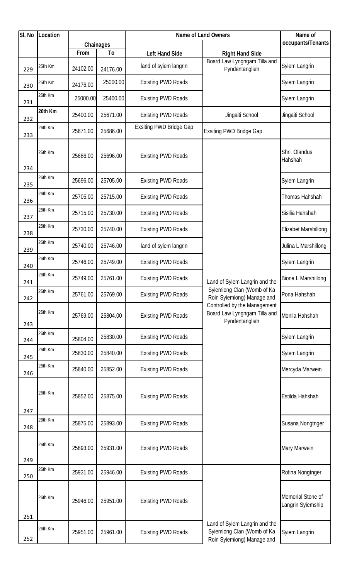| SI. No | Location |                  |                |                                         | <b>Name of Land Owners</b>                                                                | Name of                                |
|--------|----------|------------------|----------------|-----------------------------------------|-------------------------------------------------------------------------------------------|----------------------------------------|
|        |          |                  | Chainages      |                                         |                                                                                           | occupants/Tenants                      |
| 229    | 25th Km  | From<br>24102.00 | To<br>24176.00 | Left Hand Side<br>land of syiem langrin | <b>Right Hand Side</b><br>Board Law Lyngngam Tilla and<br>Pyndentanglieh                  | Syiem Langrin                          |
| 230    | 25th Km  | 24176.00         | 25000.00       | <b>Existing PWD Roads</b>               |                                                                                           | Syiem Langrin                          |
| 231    | 26th Km  | 25000.00         | 25400.00       | <b>Existing PWD Roads</b>               |                                                                                           | Syiem Langrin                          |
| 232    | 26th Km  | 25400.00         | 25671.00       | <b>Existing PWD Roads</b>               | Jingaiti School                                                                           | Jingaiti School                        |
| 233    | 26th Km  | 25671.00         | 25686.00       | <b>Exsiting PWD Bridge Gap</b>          | Exsiting PWD Bridge Gap                                                                   |                                        |
| 234    | 26th Km  | 25686.00         | 25696.00       | <b>Existing PWD Roads</b>               |                                                                                           | Shri. Olandus<br>Hahshah               |
| 235    | 26th Km  | 25696.00         | 25705.00       | <b>Existing PWD Roads</b>               |                                                                                           | Syiem Langrin                          |
| 236    | 26th Km  | 25705.00         | 25715.00       | <b>Existing PWD Roads</b>               |                                                                                           | Thomas Hahshah                         |
| 237    | 26th Km  | 25715.00         | 25730.00       | <b>Existing PWD Roads</b>               |                                                                                           | Sisilia Hahshah                        |
| 238    | 26th Km  | 25730.00         | 25740.00       | <b>Existing PWD Roads</b>               |                                                                                           | Elizabet Marshillong                   |
| 239    | 26th Km  | 25740.00         | 25746.00       | land of syiem langrin                   |                                                                                           | Julina L Marshillong                   |
| 240    | 26th Km  | 25746.00         | 25749.00       | <b>Existing PWD Roads</b>               |                                                                                           | Syiem Langrin                          |
| 241    | 26th Km  | 25749.00         | 25761.00       | <b>Existing PWD Roads</b>               | Land of Syiem Langrin and the                                                             | Biona L Marshillong                    |
| 242    | 26th Km  | 25761.00         | 25769.00       | <b>Existing PWD Roads</b>               | Sylemiong Clan (Womb of Ka<br>Roin Sylemiong) Manage and                                  | Pona Hahshah                           |
| 243    | 26th Km  | 25769.00         | 25804.00       | <b>Existing PWD Roads</b>               | Controlled by the Management<br>Board Law Lyngngam Tilla and<br>Pyndentanglieh            | Monila Hahshah                         |
| 244    | 26th Km  | 25804.00         | 25830.00       | <b>Existing PWD Roads</b>               |                                                                                           | Syiem Langrin                          |
| 245    | 26th Km  | 25830.00         | 25840.00       | <b>Existing PWD Roads</b>               |                                                                                           | Syiem Langrin                          |
| 246    | 26th Km  | 25840.00         | 25852.00       | <b>Existing PWD Roads</b>               |                                                                                           | Mercyda Marwein                        |
| 247    | 26th Km  | 25852.00         | 25875.00       | <b>Existing PWD Roads</b>               |                                                                                           | Estilda Hahshah                        |
| 248    | 26th Km  | 25875.00         | 25893.00       | <b>Existing PWD Roads</b>               |                                                                                           | Susana Nongtnger                       |
| 249    | 26th Km  | 25893.00         | 25931.00       | <b>Existing PWD Roads</b>               |                                                                                           | Mary Marwein                           |
| 250    | 26th Km  | 25931.00         | 25946.00       | <b>Existing PWD Roads</b>               |                                                                                           | Rofina Nongtnger                       |
| 251    | 26th Km  | 25946.00         | 25951.00       | <b>Existing PWD Roads</b>               |                                                                                           | Memorial Stone of<br>Langrin Syiemship |
| 252    | 26th Km  | 25951.00         | 25961.00       | <b>Existing PWD Roads</b>               | Land of Syiem Langrin and the<br>Sylemiong Clan (Womb of Ka<br>Roin Syiemiong) Manage and | Syiem Langrin                          |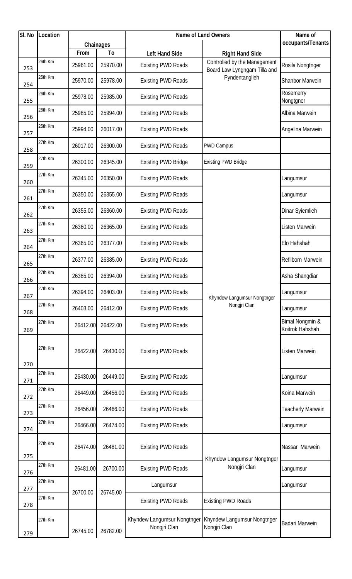| SI. No | Location |          |           | Name of Land Owners                         | Name of                                                      |                                    |
|--------|----------|----------|-----------|---------------------------------------------|--------------------------------------------------------------|------------------------------------|
|        |          |          | Chainages |                                             |                                                              | occupants/Tenants                  |
|        |          | From     | To        | <b>Left Hand Side</b>                       | <b>Right Hand Side</b>                                       |                                    |
| 253    | 26th Km  | 25961.00 | 25970.00  | <b>Existing PWD Roads</b>                   | Controlled by the Management<br>Board Law Lyngngam Tilla and | Rosila Nongtnger                   |
| 254    | 26th Km  | 25970.00 | 25978.00  | <b>Existing PWD Roads</b>                   | Pyndentanglieh                                               | <b>Shanbor Marwein</b>             |
| 255    | 26th Km  | 25978.00 | 25985.00  | <b>Existing PWD Roads</b>                   |                                                              | Rosemerry<br>Nongtgner             |
| 256    | 26th Km  | 25985.00 | 25994.00  | <b>Existing PWD Roads</b>                   |                                                              | Albina Marwein                     |
| 257    | 26th Km  | 25994.00 | 26017.00  | <b>Existing PWD Roads</b>                   |                                                              | Angelina Marwein                   |
| 258    | 27th Km  | 26017.00 | 26300.00  | <b>Existing PWD Roads</b>                   | <b>PWD Campus</b>                                            |                                    |
| 259    | 27th Km  | 26300.00 | 26345.00  | <b>Existing PWD Bridge</b>                  | <b>Existing PWD Bridge</b>                                   |                                    |
| 260    | 27th Km  | 26345.00 | 26350.00  | <b>Existing PWD Roads</b>                   |                                                              | Langumsur                          |
| 261    | 27th Km  | 26350.00 | 26355.00  | <b>Existing PWD Roads</b>                   |                                                              | Langumsur                          |
| 262    | 27th Km  | 26355.00 | 26360.00  | <b>Existing PWD Roads</b>                   |                                                              | Dinar Syiemlieh                    |
| 263    | 27th Km  | 26360.00 | 26365.00  | <b>Existing PWD Roads</b>                   |                                                              | Listen Marwein                     |
| 264    | 27th Km  | 26365.00 | 26377.00  | <b>Existing PWD Roads</b>                   |                                                              | Elo Hahshah                        |
| 265    | 27th Km  | 26377.00 | 26385.00  | <b>Existing PWD Roads</b>                   |                                                              | Refilborn Marwein                  |
| 266    | 27th Km  | 26385.00 | 26394.00  | <b>Existing PWD Roads</b>                   |                                                              | Asha Shangdiar                     |
| 267    | 27th Km  | 26394.00 | 26403.00  | <b>Existing PWD Roads</b>                   | Khyndew Langumsur Nongtnger                                  | Langumsur                          |
| 268    | 27th Km  | 26403.00 | 26412.00  | <b>Existing PWD Roads</b>                   | Nongjri Clan                                                 | Langumsur                          |
| 269    | 27th Km  | 26412.00 | 26422.00  | <b>Existing PWD Roads</b>                   |                                                              | Bimal Nongmin &<br>Koitrok Hahshah |
| 270    | 27th Km  | 26422.00 | 26430.00  | <b>Existing PWD Roads</b>                   |                                                              | Listen Marwein                     |
| 271    | 27th Km  | 26430.00 | 26449.00  | <b>Existing PWD Roads</b>                   |                                                              | Langumsur                          |
| 272    | 27th Km  | 26449.00 | 26456.00  | <b>Existing PWD Roads</b>                   |                                                              | Koina Marwein                      |
| 273    | 27th Km  | 26456.00 | 26466.00  | <b>Existing PWD Roads</b>                   |                                                              | <b>Teacherly Marwein</b>           |
| 274    | 27th Km  | 26466.00 | 26474.00  | <b>Existing PWD Roads</b>                   |                                                              | Langumsur                          |
| 275    | 27th Km  | 26474.00 | 26481.00  | <b>Existing PWD Roads</b>                   | Khyndew Langumsur Nongtnger                                  | Nassar Marwein                     |
| 276    | 27th Km  | 26481.00 | 26700.00  | <b>Existing PWD Roads</b>                   | Nongjri Clan                                                 | Langumsur                          |
| 277    | 27th Km  |          |           | Langumsur                                   |                                                              | Langumsur                          |
| 278    | 27th Km  | 26700.00 | 26745.00  | <b>Existing PWD Roads</b>                   | <b>Existing PWD Roads</b>                                    |                                    |
| 279    | 27th Km  | 26745.00 | 26782.00  | Khyndew Langumsur Nongtnger<br>Nongjri Clan | Khyndew Langumsur Nongtnger<br>Nongjri Clan                  | <b>Badari Marwein</b>              |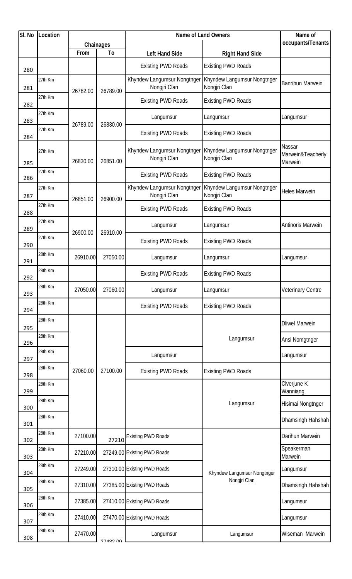| SI. No | Location |          |                 | Name of Land Owners                         | Name of                                     |                                        |  |
|--------|----------|----------|-----------------|---------------------------------------------|---------------------------------------------|----------------------------------------|--|
|        |          |          | Chainages       |                                             |                                             | occupants/Tenants                      |  |
|        |          | From     | To              | <b>Left Hand Side</b>                       | <b>Right Hand Side</b>                      |                                        |  |
| 280    |          |          |                 | <b>Existing PWD Roads</b>                   | <b>Existing PWD Roads</b>                   |                                        |  |
| 281    | 27th Km  | 26782.00 | 26789.00        | Khyndew Langumsur Nongtnger<br>Nongjri Clan | Khyndew Langumsur Nongtnger<br>Nongjri Clan | <b>Banrihun Marwein</b>                |  |
| 282    | 27th Km  |          |                 | <b>Existing PWD Roads</b>                   | <b>Existing PWD Roads</b>                   |                                        |  |
| 283    | 27th Km  | 26789.00 | 26830.00        | Langumsur                                   | Langumsur                                   | Langumsur                              |  |
| 284    | 27th Km  |          |                 | <b>Existing PWD Roads</b>                   | <b>Existing PWD Roads</b>                   |                                        |  |
| 285    | 27th Km  | 26830.00 | 26851.00        | Khyndew Langumsur Nongtnger<br>Nongjri Clan | Khyndew Langumsur Nongtnger<br>Nongjri Clan | Nassar<br>Marwein&Teacherly<br>Marwein |  |
| 286    | 27th Km  |          |                 | <b>Existing PWD Roads</b>                   | <b>Existing PWD Roads</b>                   |                                        |  |
| 287    | 27th Km  | 26851.00 | 26900.00        | Khyndew Langumsur Nongtnger<br>Nongjri Clan | Khyndew Langumsur Nongtnger<br>Nongjri Clan | <b>Heles Marwein</b>                   |  |
| 288    | 27th Km  |          |                 |                                             | <b>Existing PWD Roads</b>                   | <b>Existing PWD Roads</b>              |  |
| 289    | 27th Km  | 26900.00 | 26910.00        | Langumsur                                   | Langumsur                                   | Antinoris Marwein                      |  |
| 290    | 27th Km  |          |                 | <b>Existing PWD Roads</b>                   | <b>Existing PWD Roads</b>                   |                                        |  |
| 291    | 28th Km  | 26910.00 | 27050.00        | Langumsur                                   | Langumsur                                   | Langumsur                              |  |
| 292    | 28th Km  |          |                 | <b>Existing PWD Roads</b>                   | <b>Existing PWD Roads</b>                   |                                        |  |
|        | 28th Km  | 27050.00 | 27060.00        | Langumsur                                   | Langumsur                                   | <b>Veterinary Centre</b>               |  |
| 293    | 28th Km  |          |                 | <b>Existing PWD Roads</b>                   | <b>Existing PWD Roads</b>                   |                                        |  |
| 294    | 28th Km  |          |                 |                                             |                                             |                                        |  |
| 295    |          |          |                 |                                             |                                             | <b>Dliwel Marwein</b>                  |  |
| 296    | 28th Km  |          |                 |                                             | Langumsur                                   | Ansi Nomgtnger                         |  |
| 297    | 28th Km  |          |                 | Langumsur                                   |                                             | Langumsur                              |  |
|        | 28th Km  | 27060.00 | 27100.00        | <b>Existing PWD Roads</b>                   | <b>Existing PWD Roads</b>                   |                                        |  |
| 298    | 28th Km  |          |                 |                                             |                                             | Clverjune K                            |  |
| 299    | 28th Km  |          |                 |                                             |                                             | Wanniang                               |  |
| 300    |          |          |                 |                                             | Langumsur                                   | Hisimai Nongtnger                      |  |
| 301    | 28th Km  |          |                 |                                             |                                             | Dhamsingh Hahshah                      |  |
| 302    | 28th Km  | 27100.00 | 27210           | <b>Existing PWD Roads</b>                   |                                             | Darihun Marwein                        |  |
| 303    | 28th Km  | 27210.00 |                 | 27249.00 Existing PWD Roads                 |                                             | Speakerman<br>Marwein                  |  |
| 304    | 28th Km  | 27249.00 |                 | 27310.00 Existing PWD Roads                 | Khyndew Langumsur Nongtnger                 | Langumsur                              |  |
| 305    | 28th Km  | 27310.00 |                 | 27385.00 Existing PWD Roads                 | Nongjri Clan                                | Dhamsingh Hahshah                      |  |
| 306    | 28th Km  | 27385.00 |                 | 27410.00 Existing PWD Roads                 |                                             | Langumsur                              |  |
| 307    | 28th Km  | 27410.00 |                 | 27470.00 Existing PWD Roads                 |                                             | Langumsur                              |  |
| 308    | 28th Km  | 27470.00 | <b>OU COVLC</b> | Langumsur                                   | Langumsur                                   | Wiseman Marwein                        |  |
|        |          |          |                 |                                             |                                             |                                        |  |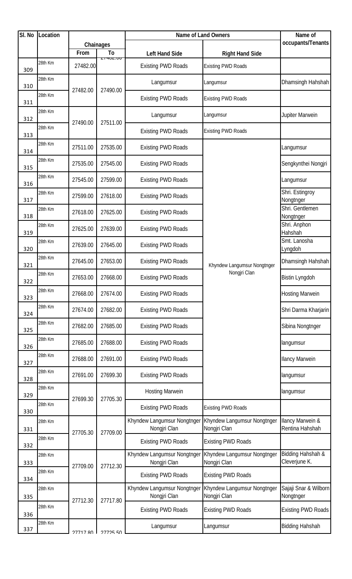| SI. No     | Location |            |                            | Name of Land Owners                         | Name of                                     |                                                |
|------------|----------|------------|----------------------------|---------------------------------------------|---------------------------------------------|------------------------------------------------|
|            |          |            | Chainages                  |                                             |                                             | occupants/Tenants                              |
|            |          | From       | T <sub>o</sub><br>L140L.00 | <b>Left Hand Side</b>                       | <b>Right Hand Side</b>                      |                                                |
| 309        | 28th Km  | 27482.00   |                            | <b>Existing PWD Roads</b>                   | <b>Existing PWD Roads</b>                   |                                                |
| 310        | 28th Km  | 27482.00   | 27490.00                   | Langumsur                                   | Langumsur                                   | Dhamsingh Hahshah                              |
| 311        | 28th Km  |            |                            | <b>Existing PWD Roads</b>                   | <b>Existing PWD Roads</b>                   |                                                |
| 312        | 28th Km  | 27490.00   | 27511.00                   | Langumsur                                   | Langumsur                                   | Jupiter Marwein                                |
| 313        | 28th Km  |            |                            | <b>Existing PWD Roads</b>                   | <b>Existing PWD Roads</b>                   |                                                |
| 314        | 28th Km  | 27511.00   | 27535.00                   | <b>Existing PWD Roads</b>                   |                                             | Langumsur                                      |
| 315        | 28th Km  | 27535.00   | 27545.00                   | <b>Existing PWD Roads</b>                   |                                             | Sengkynthei Nongiri                            |
| 316        | 28th Km  | 27545.00   | 27599.00                   | <b>Existing PWD Roads</b>                   |                                             | Langumsur                                      |
| 317        | 28th Km  | 27599.00   | 27618.00                   | <b>Existing PWD Roads</b>                   |                                             | Shri. Estingroy<br>Nongtnger                   |
| 318        | 28th Km  | 27618.00   | 27625.00                   | <b>Existing PWD Roads</b>                   |                                             | Shri. Gentlemen<br>Nongtnger                   |
| 319        | 28th Km  | 27625.00   | 27639.00                   | <b>Existing PWD Roads</b>                   |                                             | Shri. Anphon<br>Hahshah                        |
| 320        | 28th Km  | 27639.00   | 27645.00                   | <b>Existing PWD Roads</b>                   |                                             | Smt. Lanosha<br>Lyngdoh                        |
| 321        | 28th Km  | 27645.00   | 27653.00                   | <b>Existing PWD Roads</b>                   | Khyndew Langumsur Nongtnger                 | Dhamsingh Hahshah                              |
| 322        | 28th Km  | 27653.00   | 27668.00                   | <b>Existing PWD Roads</b>                   | Nongjri Clan                                | <b>Bistin Lyngdoh</b>                          |
| 323        | 28th Km  | 27668.00   | 27674.00                   | <b>Existing PWD Roads</b>                   |                                             | <b>Hosting Marwein</b>                         |
| 324        | 28th Km  | 27674.00   | 27682.00                   | <b>Existing PWD Roads</b>                   |                                             | Shri Darma Kharjarin                           |
| 325        | 28th Km  | 27682.00   | 27685.00                   | <b>Existing PWD Roads</b>                   |                                             | Sibina Nongtnger                               |
| 326        | 28th Km  | 27685.00   | 27688.00                   | <b>Existing PWD Roads</b>                   |                                             | langumsur                                      |
| 327        | 28th Km  | 27688.00   | 27691.00                   | <b>Existing PWD Roads</b>                   |                                             | <b>Ilancy Marwein</b>                          |
| 328        | 28th Km  | 27691.00   | 27699.30                   | <b>Existing PWD Roads</b>                   |                                             | langumsur                                      |
| 329        | 28th Km  |            |                            | <b>Hosting Marwein</b>                      |                                             | langumsur                                      |
| 330        | 28th Km  | 27699.30   | 27705.30                   | <b>Existing PWD Roads</b>                   | <b>Existing PWD Roads</b>                   |                                                |
| 331        | 28th Km  |            |                            | Khyndew Langumsur Nongtnger<br>Nongjri Clan | Khyndew Langumsur Nongtnger<br>Nongjri Clan | <b>Ilancy Marwein &amp;</b><br>Rentina Hahshah |
| 332        | 28th Km  | 27705.30   | 27709.00                   | <b>Existing PWD Roads</b>                   | <b>Existing PWD Roads</b>                   |                                                |
| 333        | 28th Km  |            | 27712.30                   | Khyndew Langumsur Nongtnger<br>Nongjri Clan | Khyndew Langumsur Nongtnger<br>Nongjri Clan | Bidding Hahshah &<br>Cleverjune K.             |
| 334        | 28th Km  | 27709.00   |                            | <b>Existing PWD Roads</b>                   | <b>Existing PWD Roads</b>                   |                                                |
| 335        | 28th Km  |            |                            | Khyndew Langumsur Nongtnger<br>Nongjri Clan | Khyndew Langumsur Nongtnger<br>Nongjri Clan | Sajaji Snar & Wilborn<br>Nongtnger             |
|            | 28th Km  | 27712.30   | 27717.80                   | <b>Existing PWD Roads</b>                   | <b>Existing PWD Roads</b>                   | <b>Existing PWD Roads</b>                      |
| 336<br>337 | 28th Km  |            |                            | Langumsur                                   | Langumsur                                   | <b>Bidding Hahshah</b>                         |
|            |          | 77717 RN I | <b>27725 50</b>            |                                             |                                             |                                                |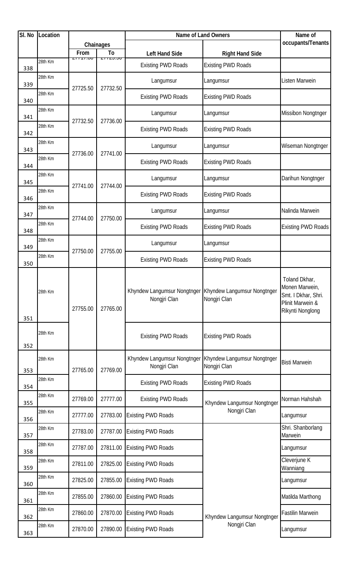| SI. No | Location |                  |                       | Name of Land Owners                         | Name of                                     |                                                                                                |
|--------|----------|------------------|-----------------------|---------------------------------------------|---------------------------------------------|------------------------------------------------------------------------------------------------|
|        |          |                  | Chainages             |                                             |                                             | occupants/Tenants                                                                              |
|        |          | From<br>27717.00 | To<br><b>ZIIZJIJU</b> | <b>Left Hand Side</b>                       | <b>Right Hand Side</b>                      |                                                                                                |
| 338    | 28th Km  |                  |                       | <b>Existing PWD Roads</b>                   | <b>Existing PWD Roads</b>                   |                                                                                                |
| 339    | 28th Km  | 27725.50         | 27732.50              | Langumsur                                   | Langumsur                                   | Listen Marwein                                                                                 |
| 340    | 28th Km  |                  |                       | <b>Existing PWD Roads</b>                   | <b>Existing PWD Roads</b>                   |                                                                                                |
| 341    | 28th Km  | 27732.50         | 27736.00              | Langumsur                                   | Langumsur                                   | Missibon Nongtnger                                                                             |
| 342    | 28th Km  |                  |                       | <b>Existing PWD Roads</b>                   | <b>Existing PWD Roads</b>                   |                                                                                                |
| 343    | 28th Km  | 27736.00         | 27741.00              | Langumsur                                   | Langumsur                                   | Wiseman Nongtnger                                                                              |
| 344    | 28th Km  |                  |                       | <b>Existing PWD Roads</b>                   | <b>Existing PWD Roads</b>                   |                                                                                                |
| 345    | 28th Km  | 27741.00         | 27744.00              | Langumsur                                   | Langumsur                                   | Darihun Nongtnger                                                                              |
| 346    | 28th Km  |                  |                       | <b>Existing PWD Roads</b>                   | <b>Existing PWD Roads</b>                   |                                                                                                |
| 347    | 28th Km  |                  |                       | Langumsur                                   | Langumsur                                   | Nalinda Marwein                                                                                |
| 348    | 28th Km  | 27744.00         | 27750.00              | <b>Existing PWD Roads</b>                   | <b>Existing PWD Roads</b>                   | <b>Existing PWD Roads</b>                                                                      |
| 349    | 28th Km  | 27750.00         | 27755.00              | Langumsur                                   | Langumsur                                   |                                                                                                |
| 350    | 28th Km  |                  |                       | <b>Existing PWD Roads</b>                   | <b>Existing PWD Roads</b>                   |                                                                                                |
| 351    | 28th Km  | 27755.00         | 27765.00              | Khyndew Langumsur Nongtnger<br>Nongjri Clan | Khyndew Langumsur Nongtnger<br>Nongjri Clan | Toland Dkhar,<br>Monen Marwein,<br>Smt. I Dkhar, Shri.<br>Plinit Marwein &<br>Rikynti Nonglong |
| 352    | 28th Km  |                  |                       | <b>Existing PWD Roads</b>                   | <b>Existing PWD Roads</b>                   |                                                                                                |
| 353    | 28th Km  | 27765.00         | 27769.00              | Khyndew Langumsur Nongtnger<br>Nongjri Clan | Khyndew Langumsur Nongtnger<br>Nongjri Clan | <b>Bisti Marwein</b>                                                                           |
| 354    | 28th Km  |                  |                       | <b>Existing PWD Roads</b>                   | <b>Existing PWD Roads</b>                   |                                                                                                |
| 355    | 28th Km  | 27769.00         | 27777.00              | <b>Existing PWD Roads</b>                   | Khyndew Langumsur Nongtnger                 | Norman Hahshah                                                                                 |
| 356    | 28th Km  | 27777.00         | 27783.00              | <b>Existing PWD Roads</b>                   | Nongjri Clan                                | Langumsur                                                                                      |
| 357    | 28th Km  | 27783.00         | 27787.00              | <b>Existing PWD Roads</b>                   |                                             | Shri. Shanborlang<br>Marwein                                                                   |
| 358    | 28th Km  | 27787.00         | 27811.00              | <b>Existing PWD Roads</b>                   |                                             | Langumsur                                                                                      |
| 359    | 28th Km  | 27811.00         | 27825.00              | <b>Existing PWD Roads</b>                   |                                             | Cleverjune K<br>Wanniang                                                                       |
| 360    | 28th Km  | 27825.00         | 27855.00              | <b>Existing PWD Roads</b>                   |                                             | Langumsur                                                                                      |
| 361    | 28th Km  | 27855.00         | 27860.00              | <b>Existing PWD Roads</b>                   |                                             | Matilda Marthong                                                                               |
| 362    | 28th Km  | 27860.00         | 27870.00              | <b>Existing PWD Roads</b>                   | Khyndew Langumsur Nongtnger                 | <b>Fastilin Marwein</b>                                                                        |
| 363    | 28th Km  | 27870.00         | 27890.00              | <b>Existing PWD Roads</b>                   | Nongjri Clan                                | Langumsur                                                                                      |